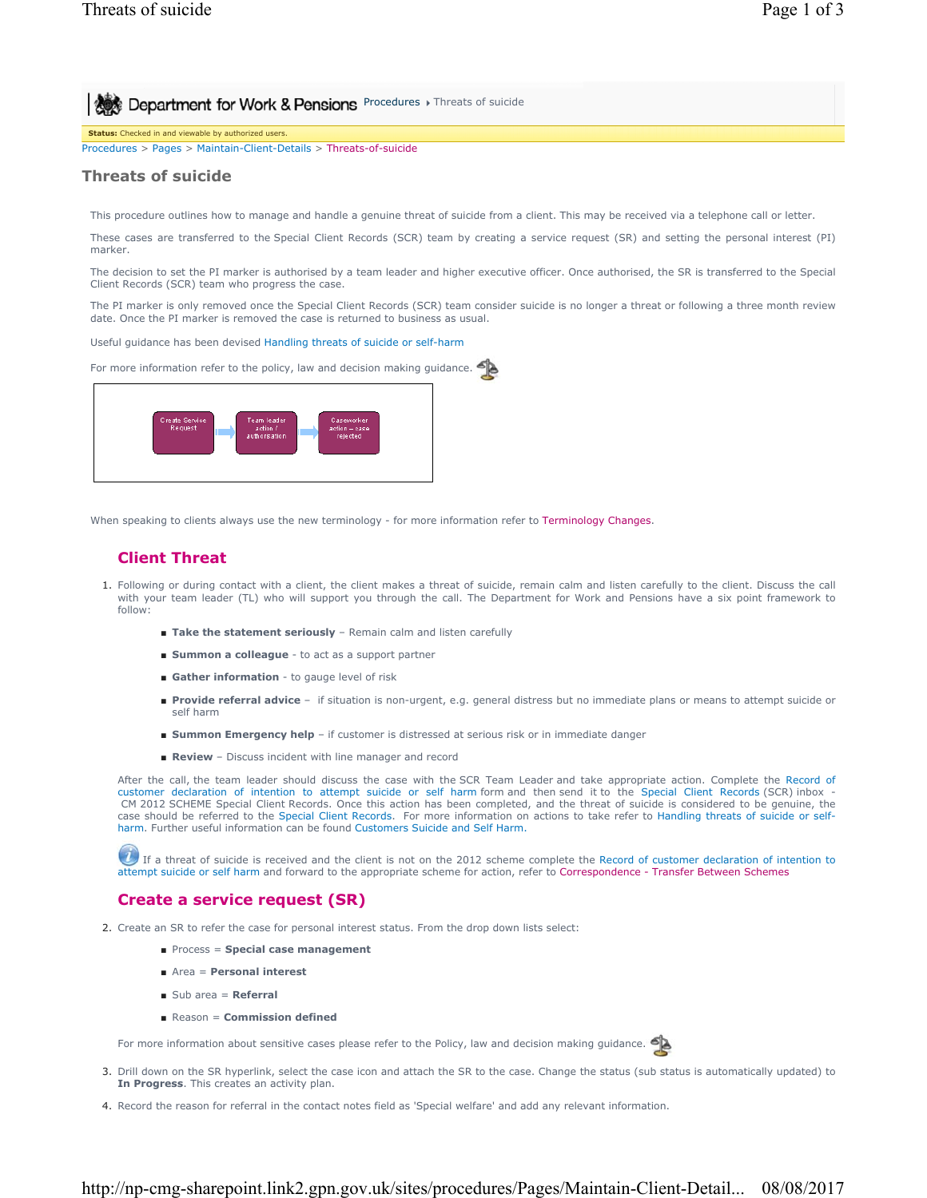**Procedures > Threats of suicide** 

**Status:** Checked in and viewable by authorized users.

Procedures > Pages > Maintain-Client-Details > Threats-of-suicide

### **Threats of suicide**

This procedure outlines how to manage and handle a genuine threat of suicide from a client. This may be received via a telephone call or letter.

These cases are transferred to the Special Client Records (SCR) team by creating a service request (SR) and setting the personal interest (PI) marker.

The decision to set the PI marker is authorised by a team leader and higher executive officer. Once authorised, the SR is transferred to the Special Client Records (SCR) team who progress the case.

The PI marker is only removed once the Special Client Records (SCR) team consider suicide is no longer a threat or following a three month review date. Once the PI marker is removed the case is returned to business as usual.

#### Useful guidance has been devised Handling threats of suicide or self-harm

For more information refer to the policy, law and decision making guidance.



When speaking to clients always use the new terminology - for more information refer to Terminology Changes.

# **Client Threat**

- Following or during contact with a client, the client makes a threat of suicide, remain calm and listen carefully to the client. Discuss the call 1. with your team leader (TL) who will support you through the call. The Department for Work and Pensions have a six point framework to follow:
	- **Take the statement seriously** Remain calm and listen carefully
	- **Summon a colleague** to act as a support partner
	- **Gather information** to gauge level of risk
	- Provide referral advice if situation is non-urgent, e.g. general distress but no immediate plans or means to attempt suicide or self harm
	- **Summon Emergency help** if customer is distressed at serious risk or in immediate danger
	- **Review** Discuss incident with line manager and record

After the call, the team leader should discuss the case with the SCR Team Leader and take appropriate action. Complete the Record of customer declaration of intention to attempt suicide or self harm form and then send it to the Special Client Records (SCR) inbox - CM 2012 SCHEME Special Client Records. Once this action has been completed, and the threat of suicide is considered to be genuine, the case should be referred to the Special Client Records. For more information on actions to take refer to Handling threats of suicide or selfharm. Further useful information can be found Customers Suicide and Self Harm.

If a threat of suicide is received and the client is not on the 2012 scheme complete the Record of customer declaration of intention to attempt suicide or self harm and forward to the appropriate scheme for action, refer to Correspondence - Transfer Between Schemes

## **Create a service request (SR)**

- 2. Create an SR to refer the case for personal interest status. From the drop down lists select:
	- Process = **Special case management**
	- Area = **Personal interest**
	- Sub area = **Referral**
	- Reason = **Commission defined**

For more information about sensitive cases please refer to the Policy, law and decision making guidance.

- 3. Drill down on the SR hyperlink, select the case icon and attach the SR to the case. Change the status (sub status is automatically updated) to **In Progress**. This creates an activity plan.
- 4. Record the reason for referral in the contact notes field as 'Special welfare' and add any relevant information.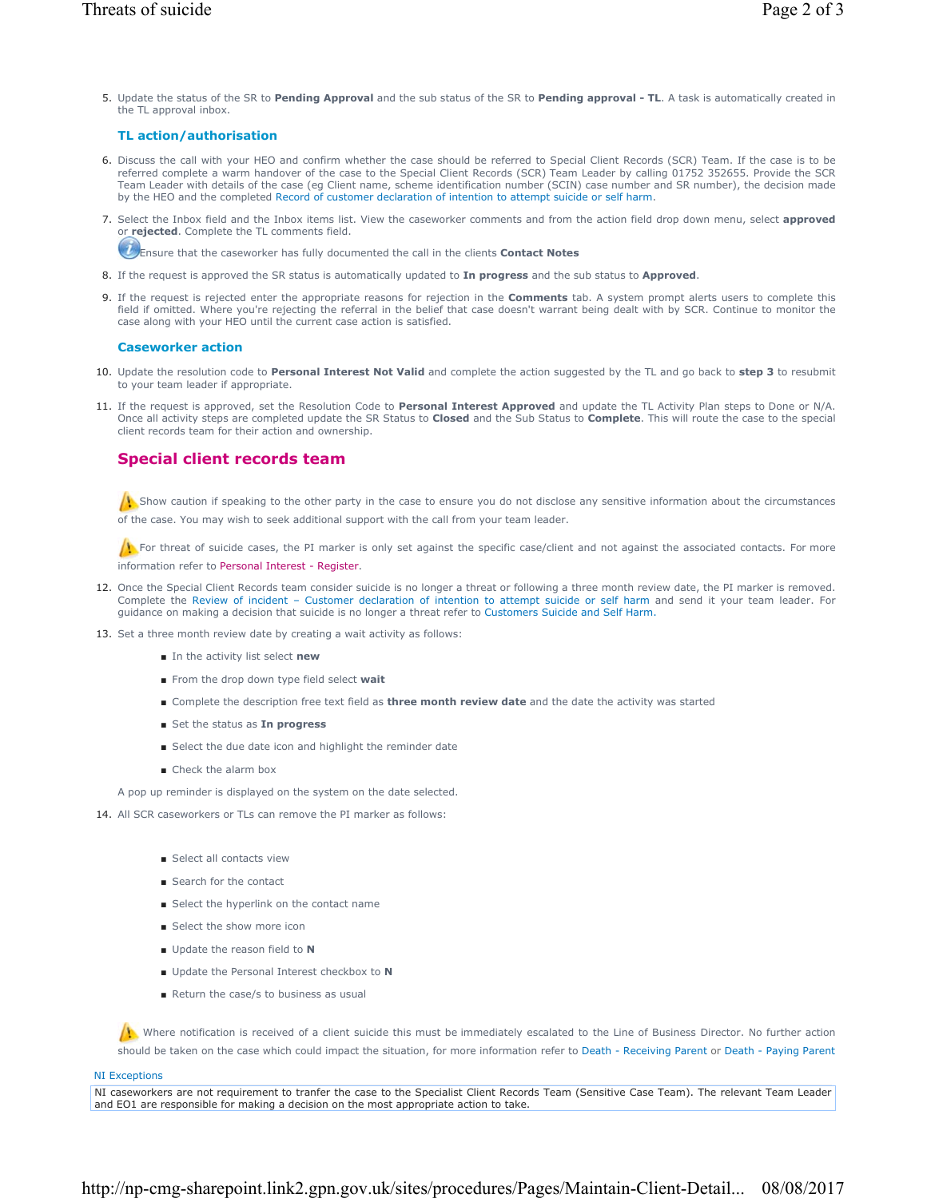## **TL action/authorisation**

the TL approval inbox.

6. Discuss the call with your HEO and confirm whether the case should be referred to Special Client Records (SCR) Team. If the case is to be referred complete a warm handover of the case to the Special Client Records (SCR) Team Leader by calling 01752 352655. Provide the SCR Team Leader with details of the case (eg Client name, scheme identification number (SCIN) case number and SR number), the decision made by the HEO and the completed Record of customer declaration of intention to attempt suicide or self harm.

5. Update the status of the SR to Pending Approval and the sub status of the SR to Pending approval - TL. A task is automatically created in

7. Select the Inbox field and the Inbox items list. View the caseworker comments and from the action field drop down menu, select **approved** or **rejected**. Complete the TL comments field.

Ensure that the caseworker has fully documented the call in the clients **Contact Notes**

- 8. If the request is approved the SR status is automatically updated to **In progress** and the sub status to **Approved**.
- If the request is rejected enter the appropriate reasons for rejection in the **Comments** tab. A system prompt alerts users to complete this 9. field if omitted. Where you're rejecting the referral in the belief that case doesn't warrant being dealt with by SCR. Continue to monitor the case along with your HEO until the current case action is satisfied.

#### **Caseworker action**

- 10. Update the resolution code to Personal Interest Not Valid and complete the action suggested by the TL and go back to step 3 to resubmit to your team leader if appropriate.
- 11. If the request is approved, set the Resolution Code to Personal Interest Approved and update the TL Activity Plan steps to Done or N/A. Once all activity steps are completed update the SR Status to **Closed** and the Sub Status to **Complete**. This will route the case to the special client records team for their action and ownership.

### **Special client records team**

 $\Lambda$ . Show caution if speaking to the other party in the case to ensure you do not disclose any sensitive information about the circumstances of the case. You may wish to seek additional support with the call from your team leader.

For threat of suicide cases, the PI marker is only set against the specific case/client and not against the associated contacts. For more information refer to Personal Interest - Register.

- 12. Once the Special Client Records team consider suicide is no longer a threat or following a three month review date, the PI marker is removed. Complete the Review of incident – Customer declaration of intention to attempt suicide or self harm and send it your team leader. For guidance on making a decision that suicide is no longer a threat refer to Customers Suicide and Self Harm.
- 13. Set a three month review date by creating a wait activity as follows:
	- In the activity list select **new**
	- From the drop down type field select wait
	- Complete the description free text field as **three month review date** and the date the activity was started
	- Set the status as **In progress**
	- Select the due date icon and highlight the reminder date
	- Check the alarm box

A pop up reminder is displayed on the system on the date selected.

- 14. All SCR caseworkers or TLs can remove the PI marker as follows:
	- Select all contacts view
	- Search for the contact
	- Select the hyperlink on the contact name
	- Select the show more icon
	- Update the reason field to **N**
	- Update the Personal Interest checkbox to **N**
	- Return the case/s to business as usual

Where notification is received of a client suicide this must be immediately escalated to the Line of Business Director. No further action should be taken on the case which could impact the situation, for more information refer to Death - Receiving Parent or Death - Paying Parent

#### NI Exceptions

NI caseworkers are not requirement to tranfer the case to the Specialist Client Records Team (Sensitive Case Team). The relevant Team Leader and EO1 are responsible for making a decision on the most appropriate action to take.